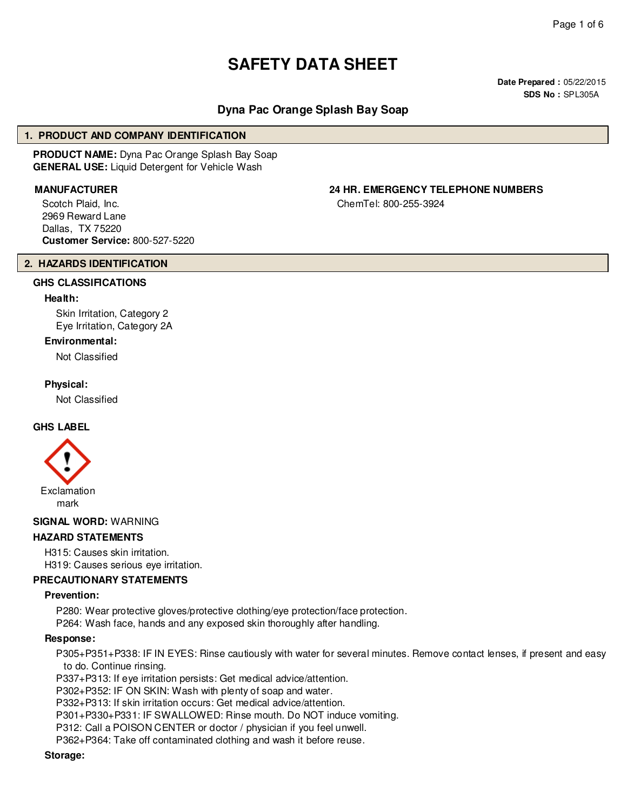# **SAFETY DATA SHEET**

**Date Prepared :** 05/22/2015 **SDS No :** SPL305A

# **Dyna Pac Orange Splash Bay Soap**

#### **1. PRODUCT AND COMPANY IDENTIFICATION**

**PRODUCT NAME:** Dyna Pac Orange Splash Bay Soap **GENERAL USE:** Liquid Detergent for Vehicle Wash

Scotch Plaid, Inc. 2969 Reward Lane Dallas, TX 75220 **Customer Service:** 800-527-5220

#### **2. HAZARDS IDENTIFICATION**

#### **GHS CLASSIFICATIONS**

#### **Health:**

Skin Irritation, Category 2 Eye Irritation, Category 2A

#### **Environmental:**

Not Classified

#### **Physical:**

Not Classified

#### **GHS LABEL**



**SIGNAL WORD:** WARNING

#### **HAZARD STATEMENTS**

H315: Causes skin irritation. H319: Causes serious eye irritation.

#### **PRECAUTIONARY STATEMENTS**

#### **Prevention:**

P280: Wear protective gloves/protective clothing/eye protection/face protection.

P264: Wash face, hands and any exposed skin thoroughly after handling.

#### **Response:**

P305+P351+P338: IF IN EYES: Rinse cautiously with water for several minutes. Remove contact lenses, if present and easy to do. Continue rinsing.

P337+P313: If eye irritation persists: Get medical advice/attention.

P302+P352: IF ON SKIN: Wash with plenty of soap and water.

P332+P313: If skin irritation occurs: Get medical advice/attention.

P301+P330+P331: IF SWALLOWED: Rinse mouth. Do NOT induce vomiting.

P312: Call a POISON CENTER or doctor / physician if you feel unwell.

P362+P364: Take off contaminated clothing and wash it before reuse.

#### **Storage:**

# **MANUFACTURER 24 HR. EMERGENCY TELEPHONE NUMBERS**

ChemTel: 800-255-3924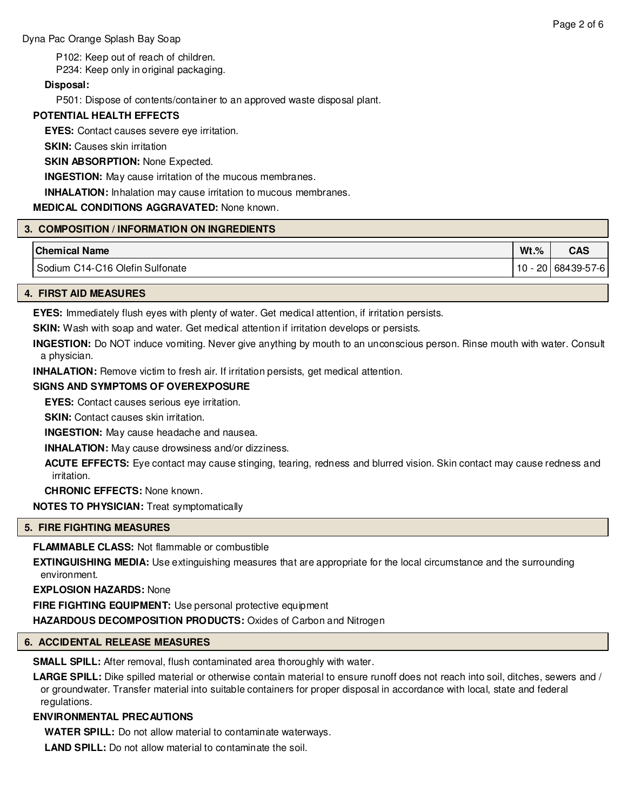P102: Keep out of reach of children.

P234: Keep only in original packaging.

#### **Disposal:**

P501: Dispose of contents/container to an approved waste disposal plant.

# **POTENTIAL HEALTH EFFECTS**

**EYES:** Contact causes severe eye irritation.

**SKIN:** Causes skin irritation

#### **SKIN ABSORPTION: None Expected.**

**INGESTION:** May cause irritation of the mucous membranes.

**INHALATION:** Inhalation may cause irritation to mucous membranes.

#### **MEDICAL CONDITIONS AGGRAVATED:** None known.

#### **3. COMPOSITION / INFORMATION ON INGREDIENTS**

| <b>Chemical Name</b>            | $Wt.$ % | <b>CAS</b>           |
|---------------------------------|---------|----------------------|
| Sodium C14-C16 Olefin Sulfonate |         | $10 - 20$ 68439-57-6 |
|                                 |         |                      |

# **4. FIRST AID MEASURES**

**EYES:** Immediately flush eyes with plenty of water. Get medical attention, if irritation persists.

**SKIN:** Wash with soap and water. Get medical attention if irritation develops or persists.

**INGESTION:** Do NOT induce vomiting. Never give anything by mouth to an unconscious person. Rinse mouth with water. Consult a physician.

**INHALATION:** Remove victim to fresh air. If irritation persists, get medical attention.

#### **SIGNS AND SYMPTOMS OF OVEREXPOSURE**

**EYES:** Contact causes serious eye irritation.

**SKIN:** Contact causes skin irritation.

**INGESTION:** May cause headache and nausea.

**INHALATION:** May cause drowsiness and/or dizziness.

**ACUTE EFFECTS:** Eye contact may cause stinging, tearing, redness and blurred vision. Skin contact may cause redness and irritation.

**CHRONIC EFFECTS:** None known.

**NOTES TO PHYSICIAN:** Treat symptomatically

# **5. FIRE FIGHTING MEASURES**

**FLAMMABLE CLASS:** Not flammable or combustible

**EXTINGUISHING MEDIA:** Use extinguishing measures that are appropriate for the local circumstance and the surrounding environment.

**EXPLOSION HAZARDS:** None

**FIRE FIGHTING EQUIPMENT:** Use personal protective equipment

**HAZARDOUS DECOMPOSITION PRODUCTS:** Oxides of Carbon and Nitrogen

# **6. ACCIDENTAL RELEASE MEASURES**

**SMALL SPILL:** After removal, flush contaminated area thoroughly with water.

**LARGE SPILL:** Dike spilled material or otherwise contain material to ensure runoff does not reach into soil, ditches, sewers and / or groundwater. Transfer material into suitable containers for proper disposal in accordance with local, state and federal regulations.

# **ENVIRONMENTAL PRECAUTIONS**

**WATER SPILL:** Do not allow material to contaminate waterways.

**LAND SPILL:** Do not allow material to contaminate the soil.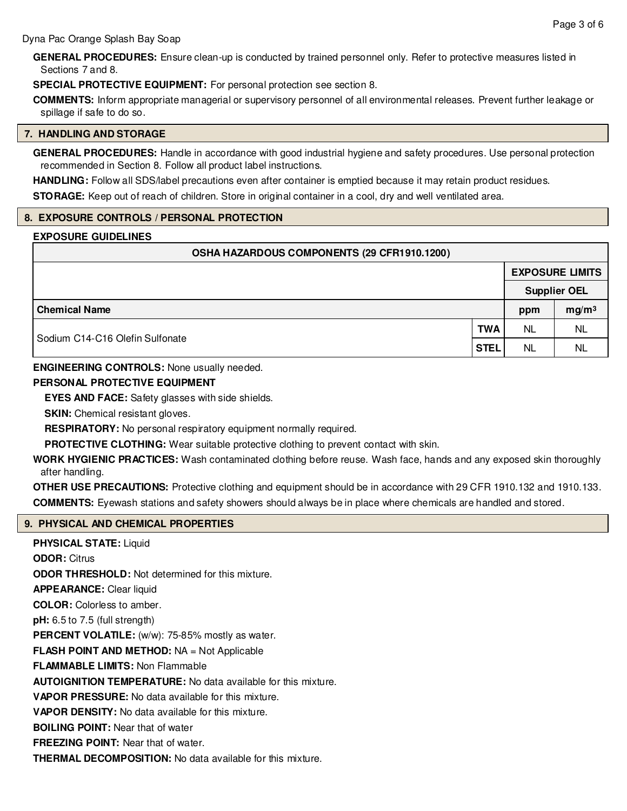**GENERAL PROCEDURES:** Ensure clean-up is conducted by trained personnel only. Refer to protective measures listed in Sections 7 and 8.

**SPECIAL PROTECTIVE EQUIPMENT:** For personal protection see section 8.

**COMMENTS:** Inform appropriate managerial or supervisory personnel of all environmental releases. Prevent further leakage or spillage if safe to do so.

#### **7. HANDLING AND STORAGE**

**GENERAL PROCEDURES:** Handle in accordance with good industrial hygiene and safety procedures. Use personal protection recommended in Section 8. Follow all product label instructions.

**HANDLING:** Follow all SDS/label precautions even after container is emptied because it may retain product residues.

**STORAGE:** Keep out of reach of children. Store in original container in a cool, dry and well ventilated area.

#### **8. EXPOSURE CONTROLS / PERSONAL PROTECTION**

#### **EXPOSURE GUIDELINES**

| OSHA HAZARDOUS COMPONENTS (29 CFR1910.1200) |             |                        |                   |  |  |  |
|---------------------------------------------|-------------|------------------------|-------------------|--|--|--|
|                                             |             | <b>EXPOSURE LIMITS</b> |                   |  |  |  |
|                                             |             | <b>Supplier OEL</b>    |                   |  |  |  |
| <b>Chemical Name</b>                        |             | ppm                    | mg/m <sup>3</sup> |  |  |  |
| <b>TWA</b>                                  |             | <b>NL</b>              | NL                |  |  |  |
| Sodium C14-C16 Olefin Sulfonate             | <b>STEL</b> | <b>NL</b>              | <b>NL</b>         |  |  |  |

**ENGINEERING CONTROLS:** None usually needed.

#### **PERSONAL PROTECTIVE EQUIPMENT**

**EYES AND FACE:** Safety glasses with side shields.

**SKIN:** Chemical resistant gloves.

**RESPIRATORY:** No personal respiratory equipment normally required.

**PROTECTIVE CLOTHING:** Wear suitable protective clothing to prevent contact with skin.

**WORK HYGIENIC PRACTICES:** Wash contaminated clothing before reuse. Wash face, hands and any exposed skin thoroughly after handling.

**OTHER USE PRECAUTIONS:** Protective clothing and equipment should be in accordance with 29 CFR 1910.132 and 1910.133. **COMMENTS:** Eyewash stations and safety showers should always be in place where chemicals are handled and stored.

#### **9. PHYSICAL AND CHEMICAL PROPERTIES**

**PHYSICAL STATE:** Liquid **ODOR:** Citrus **ODOR THRESHOLD:** Not determined for this mixture. **APPEARANCE:** Clear liquid **COLOR:** Colorless to amber. **pH:** 6.5 to 7.5 (full strength) **PERCENT VOLATILE:** (w/w): 75-85% mostly as water. **FLASH POINT AND METHOD:** NA = Not Applicable **FLAMMABLE LIMITS:** Non Flammable **AUTOIGNITION TEMPERATURE:** No data available for this mixture. **VAPOR PRESSURE:** No data available for this mixture. **VAPOR DENSITY:** No data available for this mixture. **BOILING POINT:** Near that of water **FREEZING POINT:** Near that of water. **THERMAL DECOMPOSITION:** No data available for this mixture.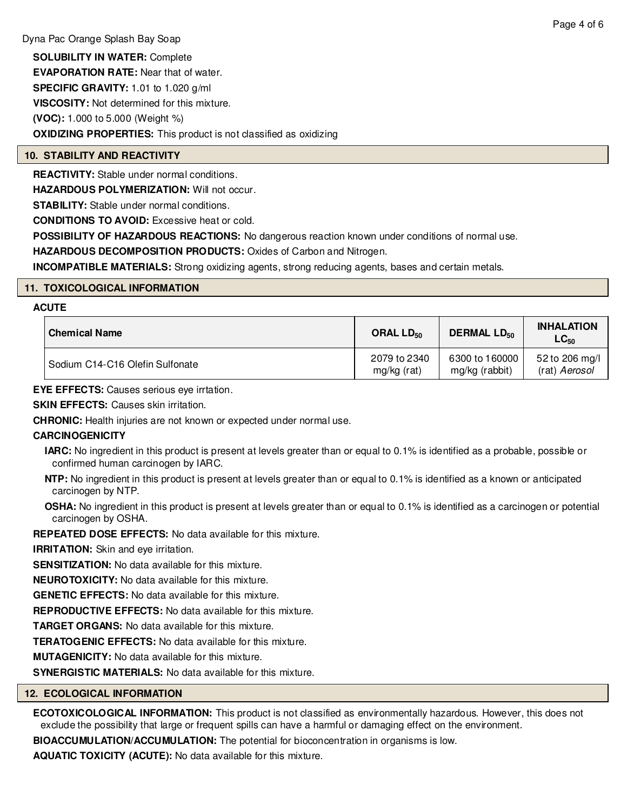**SOLUBILITY IN WATER:** Complete **EVAPORATION RATE:** Near that of water. **SPECIFIC GRAVITY:** 1.01 to 1.020 g/ml **VISCOSITY:** Not determined for this mixture. **(VOC):** 1.000 to 5.000 (Weight %) **OXIDIZING PROPERTIES:** This product is not classified as oxidizing

# **10. STABILITY AND REACTIVITY**

**REACTIVITY:** Stable under normal conditions.

**HAZARDOUS POLYMERIZATION:** Will not occur.

**STABILITY:** Stable under normal conditions.

**CONDITIONS TO AVOID:** Excessive heat or cold.

**POSSIBILITY OF HAZARDOUS REACTIONS:** No dangerous reaction known under conditions of normal use.

**HAZARDOUS DECOMPOSITION PRODUCTS:** Oxides of Carbon and Nitrogen.

**INCOMPATIBLE MATERIALS:** Strong oxidizing agents, strong reducing agents, bases and certain metals.

# **11. TOXICOLOGICAL INFORMATION**

#### **ACUTE**

| l Chemical Name                 | ORAL LD <sub>50</sub> | <b>DERMAL LD<sub>50</sub></b> | <b>INHALATION</b><br>$LC_{50}$ |
|---------------------------------|-----------------------|-------------------------------|--------------------------------|
| Sodium C14-C16 Olefin Sulfonate | 2079 to 2340          | 6300 to 160000                | 52 to 206 mg/l                 |
|                                 | mg/kg (rat)           | mg/kg (rabbit)                | (rat) Aerosol                  |

**EYE EFFECTS:** Causes serious eye irrtation.

**SKIN EFFECTS: Causes skin irritation.** 

**CHRONIC:** Health injuries are not known or expected under normal use.

# **CARCINOGENICITY**

- **IARC:** No ingredient in this product is present at levels greater than or equal to 0.1% is identified as a probable, possible or confirmed human carcinogen by IARC.
- **NTP:** No ingredient in this product is present at levels greater than or equal to 0.1% is identified as a known or anticipated carcinogen by NTP.
- **OSHA:** No ingredient in this product is present at levels greater than or equal to 0.1% is identified as a carcinogen or potential carcinogen by OSHA.

**REPEATED DOSE EFFECTS:** No data available for this mixture.

**IRRITATION:** Skin and eve irritation.

**SENSITIZATION:** No data available for this mixture.

**NEUROTOXICITY:** No data available for this mixture.

**GENETIC EFFECTS:** No data available for this mixture.

**REPRODUCTIVE EFFECTS:** No data available for this mixture.

**TARGET ORGANS:** No data available for this mixture.

**TERATOGENIC EFFECTS:** No data available for this mixture.

**MUTAGENICITY:** No data available for this mixture.

**SYNERGISTIC MATERIALS:** No data available for this mixture.

# **12. ECOLOGICAL INFORMATION**

**ECOTOXICOLOGICAL INFORMATION:** This product is not classified as environmentally hazardous. However, this does not exclude the possibility that large or frequent spills can have a harmful or damaging effect on the environment.

**BIOACCUMULATION/ACCUMULATION:** The potential for bioconcentration in organisms is low.

**AQUATIC TOXICITY (ACUTE):** No data available for this mixture.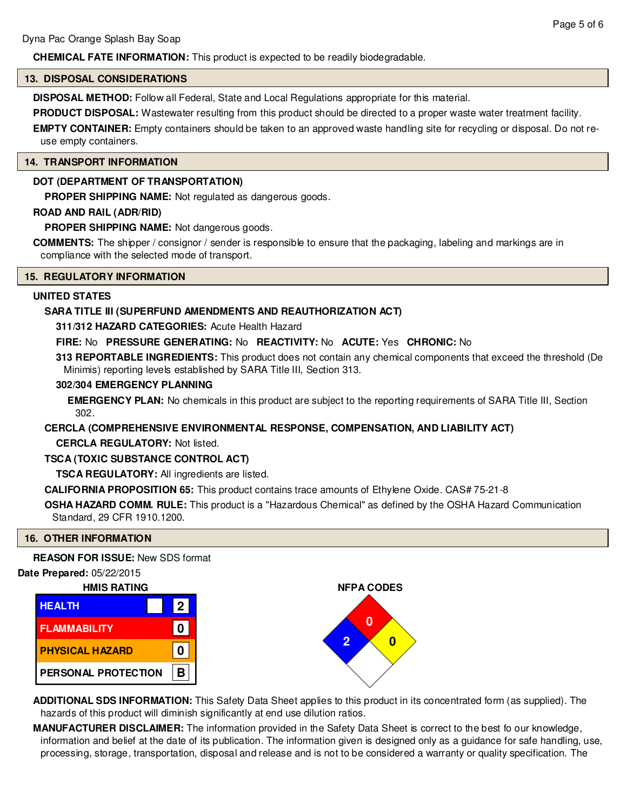# **CHEMICAL FATE INFORMATION:** This product is expected to be readily biodegradable.

#### **13. DISPOSAL CONSIDERATIONS**

**DISPOSAL METHOD:** Follow all Federal, State and Local Regulations appropriate for this material.

**PRODUCT DISPOSAL:** Wastewater resulting from this product should be directed to a proper waste water treatment facility. **EMPTY CONTAINER:** Empty containers should be taken to an approved waste handling site for recycling or disposal. Do not reuse empty containers.

#### **14. TRANSPORT INFORMATION**

# **DOT (DEPARTMENT OF TRANSPORTATION)**

**PROPER SHIPPING NAME:** Not regulated as dangerous goods.

#### **ROAD AND RAIL (ADR/RID)**

**PROPER SHIPPING NAME:** Not dangerous goods.

**COMMENTS:** The shipper / consignor / sender is responsible to ensure that the packaging, labeling and markings are in compliance with the selected mode of transport.

#### **15. REGULATORY INFORMATION**

#### **UNITED STATES**

# **SARA TITLE III (SUPERFUND AMENDMENTS AND REAUTHORIZATION ACT)**

**311/312 HAZARD CATEGORIES:** Acute Health Hazard

**FIRE:** No **PRESSURE GENERATING:** No **REACTIVITY:** No **ACUTE:** Yes **CHRONIC:** No

**313 REPORTABLE INGREDIENTS:** This product does not contain any chemical components that exceed the threshold (De Minimis) reporting levels established by SARA Title III, Section 313.

# **302/304 EMERGENCY PLANNING**

**EMERGENCY PLAN:** No chemicals in this product are subject to the reporting requirements of SARA Title III, Section 302.

# **CERCLA (COMPREHENSIVE ENVIRONMENTAL RESPONSE, COMPENSATION, AND LIABILITY ACT)**

**CERCLA REGULATORY:** Not listed.

# **TSCA (TOXIC SUBSTANCE CONTROL ACT)**

**TSCA REGULATORY:** All ingredients are listed.

**CALIFORNIA PROPOSITION 65:** This product contains trace amounts of Ethylene Oxide. CAS# 75-21-8

**OSHA HAZARD COMM. RULE:** This product is a "Hazardous Chemical" as defined by the OSHA Hazard Communication Standard, 29 CFR 1910.1200.

# **16. OTHER INFORMATION**

**REASON FOR ISSUE:** New SDS format

# **Date Prepared:** 05/22/2015

| <b>HMIS RATING</b>     |             |  |  |  |
|------------------------|-------------|--|--|--|
| <b>HEALTH</b>          | $ 2\rangle$ |  |  |  |
| <b>FLAMMABILITY</b>    |             |  |  |  |
| <b>PHYSICAL HAZARD</b> |             |  |  |  |
| PERSONAL PROTECTION    |             |  |  |  |



**ADDITIONAL SDS INFORMATION:** This Safety Data Sheet applies to this product in its concentrated form (as supplied). The hazards of this product will diminish significantly at end use dilution ratios.

**MANUFACTURER DISCLAIMER:** The information provided in the Safety Data Sheet is correct to the best fo our knowledge, information and belief at the date of its publication. The information given is designed only as a guidance for safe handling, use, processing, storage, transportation, disposal and release and is not to be considered a warranty or quality specification. The